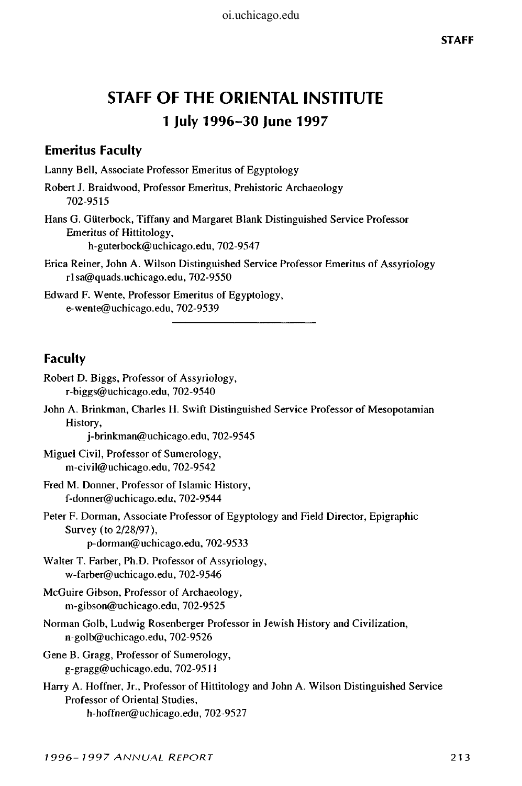# **STAFF OF THE ORIENTAL INSTITUTE 1 July 1996-30 June 1997**

# **Emeritus Faculty**

Lanny Bell, Associate Professor Emeritus of Egyptology

Robert J. Braidwood, Professor Emeritus, Prehistoric Archaeology 702-9515

- Hans G. Giiterbock, Tiffany and Margaret Blank Distinguished Service Professor Emeritus of Hittitology, h-guterbock@uchicago.edu, 702-9547
- Erica Reiner, John A. Wilson Distinguished Service Professor Emeritus of Assyriology rlsa@quads.uchicago.edu, 702-9550

Edward F. Wente, Professor Emeritus of Egyptology, e-wente@uchicago.edu, 702-9539

# **Faculty**

| Robert D. Biggs, Professor of Assyriology,<br>r-biggs@uchicago.edu, $702-9540$                                                                                 |
|----------------------------------------------------------------------------------------------------------------------------------------------------------------|
| John A. Brinkman, Charles H. Swift Distinguished Service Professor of Mesopotamian<br>History,<br>j-brinkman@uchicago.edu, 702-9545                            |
| Miguel Civil, Professor of Sumerology,<br>m-civil@uchicago.edu, $702-9542$                                                                                     |
| Fred M. Donner, Professor of Islamic History,<br>f-donner@uchicago.edu, 702-9544                                                                               |
| Peter F. Dorman, Associate Professor of Egyptology and Field Director, Epigraphic<br>Survey (to 2/28/97),<br>p-dorman@uchicago.edu, 702-9533                   |
| Walter T. Farber, Ph.D. Professor of Assyriology,<br>w-farber@uchicago.edu, 702-9546                                                                           |
| McGuire Gibson, Professor of Archaeology,<br>m-gibson@uchicago.edu, 702-9525                                                                                   |
| Norman Golb, Ludwig Rosenberger Professor in Jewish History and Civilization,<br>$n$ -golb@uchicago.edu, 702-9526                                              |
| Gene B. Gragg, Professor of Sumerology,<br>g-gragg@uchicago.edu, 702-9511                                                                                      |
| Harry A. Hoffner, Jr., Professor of Hittitology and John A. Wilson Distinguished Service<br>Professor of Oriental Studies,<br>h-hoffner@uchicago.edu, 702-9527 |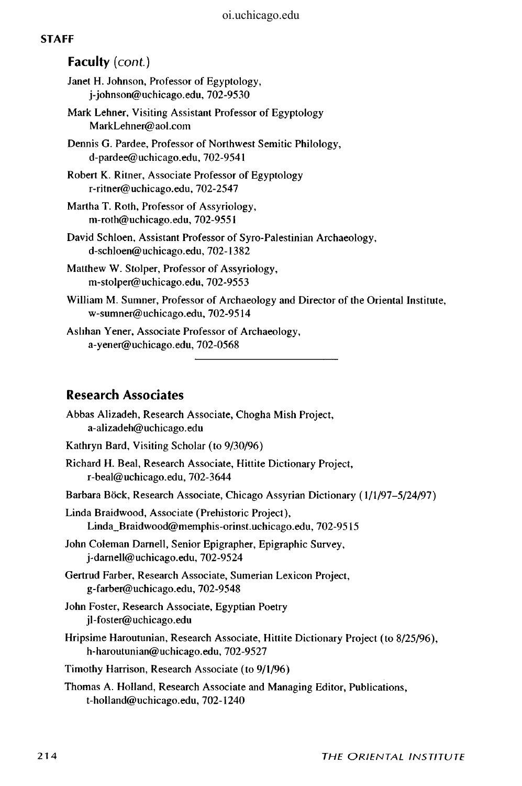#### **STAFF**

## Faculty (cont.)

- Janet H. Johnson, Professor of Egyptology, j-johnson@uchicago.edu, 702-9530
- Mark Lehner, Visiting Assistant Professor of Egyptology MarkLehner@ aol.com
- Dennis G. Pardee, Professor of Northwest Semitic Philology, d-pardee@uchicago.edu, 702-9541
- Robert K. Ritner, Associate Professor of Egyptology r-ritner@uchicago.edu, 702-2547
- Martha T. Roth, Professor of Assyriology, m-roth@uchicago.edu, 702-9551
- David Schloen, Assistant Professor of Syro-Palestinian Archaeology, d-schloen@uchicago.edu, 702-1382
- Matthew W. Stolper, Professor of Assyriology, m-stolper@uchicago.edu, 702-9553
- William M. Sumner, Professor of Archaeology and Director of the Oriental Institute, w-sumner@uchicago.edu, 702-9514
- Aslihan Yener, Associate Professor of Archaeology, a-yener@uchicago.edu, 702-0568

# **Research Associates**

| Abbas Alizadeh, Research Associate, Chogha Mish Project,<br>a-alizadeh@uchicago.edu                                        |
|----------------------------------------------------------------------------------------------------------------------------|
| Kathryn Bard, Visiting Scholar (to 9/30/96)                                                                                |
| Richard H. Beal, Research Associate, Hittite Dictionary Project,<br>r-beal@uchicago.edu, $702-3644$                        |
| Barbara Böck, Research Associate, Chicago Assyrian Dictionary (1/1/97-5/24/97)                                             |
| Linda Braidwood, Associate (Prehistoric Project),<br>Linda_Braidwood@memphis-orinst.uchicago.edu, 702-9515                 |
| John Coleman Darnell, Senior Epigrapher, Epigraphic Survey,<br>$i$ -darnell@uchicago.edu, 702-9524                         |
| Gertrud Farber, Research Associate, Sumerian Lexicon Project,<br>g-farber@uchicago.edu, 702-9548                           |
| John Foster, Research Associate, Egyptian Poetry<br>il-foster@uchicago.edu                                                 |
| Hripsime Haroutunian, Research Associate, Hittite Dictionary Project (to 8/25/96),<br>h-haroutunian@uchicago.edu, 702-9527 |
| Timothy Harrison, Research Associate (to 9/1/96)                                                                           |
| Thomas A. Holland, Research Associate and Managing Editor, Publications,<br>t-holland@uchicago.edu, 702-1240               |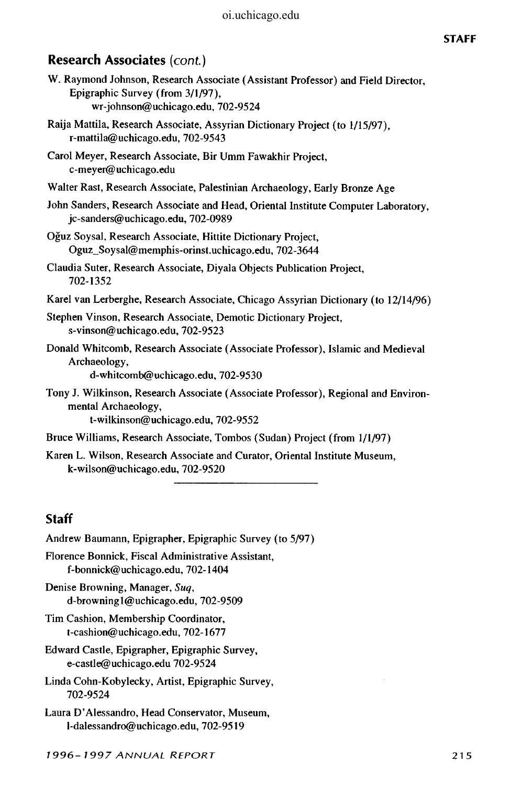## **Research Associates** *{cont)*

| W. Raymond Johnson, Research Associate (Assistant Professor) and Field Director, |  |
|----------------------------------------------------------------------------------|--|
| Epigraphic Survey (from 3/1/97).                                                 |  |
| wr-johnson@uchicago.edu, 702-9524                                                |  |

- Raija Mattila, Research Associate, Assyrian Dictionary Project (to 1/15/97), r-mattila@uchicago.edu, 702-9543
- Carol Meyer, Research Associate, Bir Umm Fawakhir Project, c-meyer@uchicago.edu
- Walter Rast, Research Associate, Palestinian Archaeology, Early Bronze Age
- John Sanders, Research Associate and Head, Oriental Institute Computer Laboratory, jc-sanders@uchicago.edu, 702-0989
- Oguz Soysal, Research Associate, Hittite Dictionary Project, Oguz\_Soysal@memphis-orinst.uchicago.edu, 702-3644
- Claudia Suter, Research Associate, Diyala Objects Publication Project, 702-1352
- Karel van Lerberghe, Research Associate, Chicago Assyrian Dictionary (to 12/14/96)
- Stephen Vinson, Research Associate, Demotic Dictionary Project, s-vinson@uchicago.edu, 702-9523
- Donald Whitcomb, Research Associate (Associate Professor), Islamic and Medieval Archaeology,

d-whitcomb@uchicago.edu, 702-9530

- Tony J. Wilkinson, Research Associate (Associate Professor), Regional and Environmental Archaeology,
	- t-wilkinson@uchicago.edu, 702-9552
- Bruce Williams, Research Associate, Tombos (Sudan) Project (from 1/1/97)
- Karen L. Wilson, Research Associate and Curator, Oriental Institute Museum, k-wilson@uchicago.edu, 702-9520

# **Staff**

Andrew Baumann, Epigrapher, Epigraphic Survey (to 5/97) Florence Bonnick, Fiscal Administrative Assistant, f-bonnick@uchicago.edu, 702-1404 Denise Browning, Manager, *Suq,*  d-browningl@uchicago.edu, 702-9509 Tim Cashion, Membership Coordinator, t-cashion@uchicago.edu, 702-1677 Edward Castle, Epigrapher, Epigraphic Survey, e-castle@uchicago.edu 702-9524 Linda Cohn-Kobylecky, Artist, Epigraphic Survey, 702-9524 Laura D'Alessandro, Head Conservator, Museum, l-dalessandro@uchicago.edu, 702-9519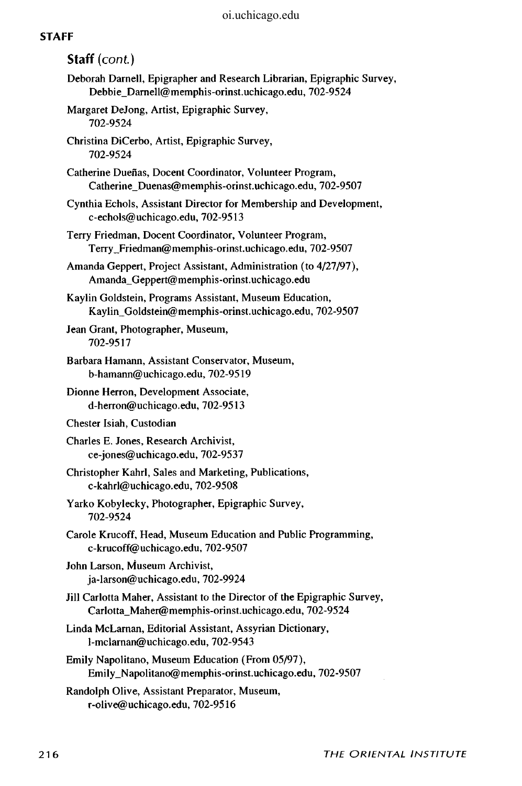## **STAFF**

| Staff (cont.)                                                                                                                    |
|----------------------------------------------------------------------------------------------------------------------------------|
| Deborah Darnell, Epigrapher and Research Librarian, Epigraphic Survey,<br>Debbie_Darnell@memphis-orinst.uchicago.edu, 702-9524   |
| Margaret DeJong, Artist, Epigraphic Survey,<br>702-9524                                                                          |
| Christina DiCerbo, Artist, Epigraphic Survey,<br>702-9524                                                                        |
| Catherine Dueñas, Docent Coordinator, Volunteer Program,<br>Catherine_Duenas@memphis-orinst.uchicago.edu, 702-9507               |
| Cynthia Echols, Assistant Director for Membership and Development,<br>c-echols@uchicago.edu, 702-9513                            |
| Terry Friedman, Docent Coordinator, Volunteer Program,<br>Terry_Friedman@memphis-orinst.uchicago.edu, 702-9507                   |
| Amanda Geppert, Project Assistant, Administration (to 4/27/97),<br>Amanda_Geppert@memphis-orinst.uchicago.edu                    |
| Kaylin Goldstein, Programs Assistant, Museum Education,<br>Kaylin_Goldstein@memphis-orinst.uchicago.edu, 702-9507                |
| Jean Grant, Photographer, Museum,<br>702-9517                                                                                    |
| Barbara Hamann, Assistant Conservator, Museum,<br>b-hamann@uchicago.edu, 702-9519                                                |
| Dionne Herron, Development Associate,<br>d-herron@uchicago.edu, 702-9513                                                         |
| Chester Isiah, Custodian                                                                                                         |
| Charles E. Jones, Research Archivist,<br>ce-jones@uchicago.edu, 702-9537                                                         |
| Christopher Kahrl, Sales and Marketing, Publications,<br>c-kahrl@uchicago.edu, 702-9508                                          |
| Yarko Kobylecky, Photographer, Epigraphic Survey,<br>702-9524                                                                    |
| Carole Krucoff, Head, Museum Education and Public Programming,<br>c-krucoff@uchicago.edu, 702-9507                               |
| John Larson, Museum Archivist,<br>ja-larson@uchicago.edu, 702-9924                                                               |
| Jill Carlotta Maher, Assistant to the Director of the Epigraphic Survey,<br>Carlotta_Maher@memphis-orinst.uchicago.edu, 702-9524 |
| Linda McLarnan, Editorial Assistant, Assyrian Dictionary,<br>l-mclarnan@uchicago.edu, 702-9543                                   |
| Emily Napolitano, Museum Education (From 05/97),<br>Emily_Napolitano@memphis-orinst.uchicago.edu, 702-9507                       |
| Randolph Olive, Assistant Preparator, Museum,                                                                                    |

r-olive@uchicago.edu, 702-9516